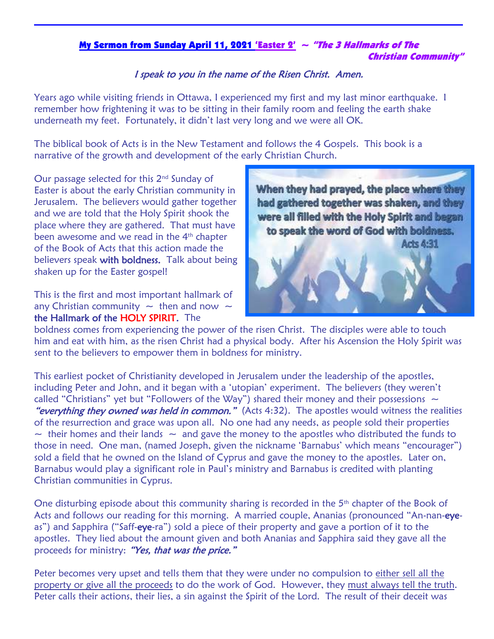## My Sermon from Sunday April 11, 2021 'Easter 2'  $\sim$  "The 3 Hallmarks of The Christian Community"

## I speak to you in the name of the Risen Christ. Amen.

Years ago while visiting friends in Ottawa, I experienced my first and my last minor earthquake. I remember how frightening it was to be sitting in their family room and feeling the earth shake underneath my feet. Fortunately, it didn't last very long and we were all OK.

The biblical book of Acts is in the New Testament and follows the 4 Gospels. This book is a narrative of the growth and development of the early Christian Church.

Our passage selected for this  $2<sup>nd</sup>$  Sunday of Easter is about the early Christian community in Jerusalem. The believers would gather together and we are told that the Holy Spirit shook the place where they are gathered. That must have been awesome and we read in the 4<sup>th</sup> chapter of the Book of Acts that this action made the believers speak with boldness. Talk about being shaken up for the Easter gospel!

This is the first and most important hallmark of any Christian community  $\sim$  then and now  $\sim$ the Hallmark of the HOLY SPIRIT. The



boldness comes from experiencing the power of the risen Christ. The disciples were able to touch him and eat with him, as the risen Christ had a physical body. After his Ascension the Holy Spirit was sent to the believers to empower them in boldness for ministry.

This earliest pocket of Christianity developed in Jerusalem under the leadership of the apostles, including Peter and John, and it began with a 'utopian' experiment. The believers (they weren't called "Christians" yet but "Followers of the Way") shared their money and their possessions  $\sim$ "everything they owned was held in common." (Acts 4:32). The apostles would witness the realities of the resurrection and grace was upon all. No one had any needs, as people sold their properties  $\sim$  their homes and their lands  $\sim$  and gave the money to the apostles who distributed the funds to those in need. One man, (named Joseph, given the nickname 'Barnabus' which means "encourager") sold a field that he owned on the Island of Cyprus and gave the money to the apostles. Later on, Barnabus would play a significant role in Paul's ministry and Barnabus is credited with planting Christian communities in Cyprus.

One disturbing episode about this community sharing is recorded in the  $5<sup>th</sup>$  chapter of the Book of Acts and follows our reading for this morning. A married couple, Ananias (pronounced "An-nan-eyeas") and Sapphira ("Saff-eye-ra") sold a piece of their property and gave a portion of it to the apostles. They lied about the amount given and both Ananias and Sapphira said they gave all the proceeds for ministry: "Yes, that was the price."

Peter becomes very upset and tells them that they were under no compulsion to either sell all the property or give all the proceeds to do the work of God. However, they must always tell the truth. Peter calls their actions, their lies, a sin against the Spirit of the Lord. The result of their deceit was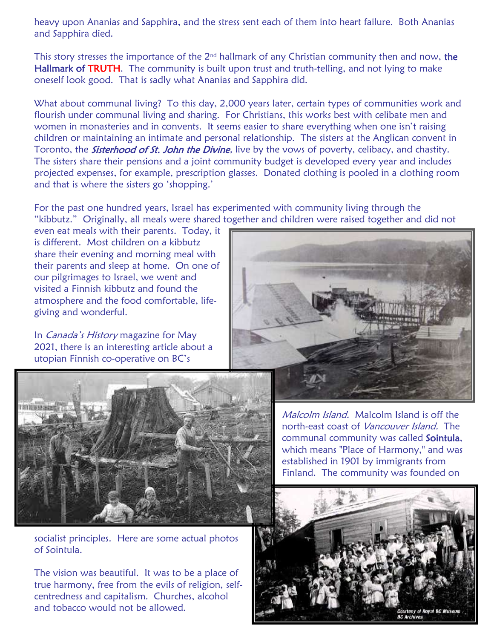heavy upon Ananias and Sapphira, and the stress sent each of them into heart failure. Both Ananias and Sapphira died.

This story stresses the importance of the  $2<sup>nd</sup>$  hallmark of any Christian community then and now, the Hallmark of TRUTH. The community is built upon trust and truth-telling, and not lying to make oneself look good. That is sadly what Ananias and Sapphira did.

What about communal living? To this day, 2,000 years later, certain types of communities work and flourish under communal living and sharing. For Christians, this works best with celibate men and women in monasteries and in convents. It seems easier to share everything when one isn't raising children or maintaining an intimate and personal relationship. The sisters at the Anglican convent in Toronto, the **Sisterhood of St. John the Divine**, live by the vows of poverty, celibacy, and chastity. The sisters share their pensions and a joint community budget is developed every year and includes projected expenses, for example, prescription glasses. Donated clothing is pooled in a clothing room and that is where the sisters go 'shopping.'

For the past one hundred years, Israel has experimented with community living through the "kibbutz." Originally, all meals were shared together and children were raised together and did not

even eat meals with their parents. Today, it is different. Most children on a kibbutz share their evening and morning meal with their parents and sleep at home. On one of our pilgrimages to Israel, we went and visited a Finnish kibbutz and found the atmosphere and the food comfortable, lifegiving and wonderful.

In *Canada's History* magazine for May 2021, there is an interesting article about a



socialist principles. Here are some actual photos of Sointula.

The vision was beautiful. It was to be a place of true harmony, free from the evils of religion, selfcentredness and capitalism. Churches, alcohol and tobacco would not be allowed.



Malcolm Island. Malcolm Island is off the north-east coast of Vancouver Island. The communal community was called Sointula. which means "Place of Harmony," and was established in 1901 by immigrants from Finland. The community was founded on

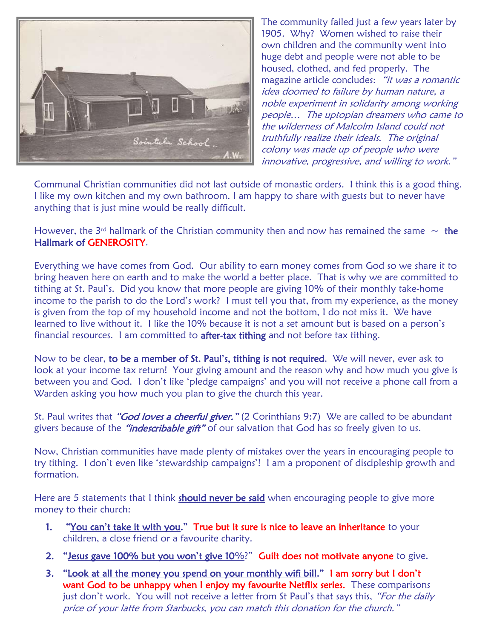

The community failed just a few years later by 1905. Why? Women wished to raise their own children and the community went into huge debt and people were not able to be housed, clothed, and fed properly. The magazine article concludes: "it was a romantic idea doomed to failure by human nature, a noble experiment in solidarity among working people… The uptopian dreamers who came to the wilderness of Malcolm Island could not truthfully realize their ideals. The original colony was made up of people who were innovative, progressive, and willing to work."

Communal Christian communities did not last outside of monastic orders. I think this is a good thing. I like my own kitchen and my own bathroom. I am happy to share with guests but to never have anything that is just mine would be really difficult.

However, the 3<sup>rd</sup> hallmark of the Christian community then and now has remained the same  $\sim$  the Hallmark of GENEROSITY.

Everything we have comes from God. Our ability to earn money comes from God so we share it to bring heaven here on earth and to make the world a better place. That is why we are committed to tithing at St. Paul's. Did you know that more people are giving 10% of their monthly take-home income to the parish to do the Lord's work? I must tell you that, from my experience, as the money is given from the top of my household income and not the bottom, I do not miss it. We have learned to live without it. I like the 10% because it is not a set amount but is based on a person's financial resources. I am committed to **after-tax tithing** and not before tax tithing.

Now to be clear, to be a member of St. Paul's, tithing is not required. We will never, ever ask to look at your income tax return! Your giving amount and the reason why and how much you give is between you and God. I don't like 'pledge campaigns' and you will not receive a phone call from a Warden asking you how much you plan to give the church this year.

St. Paul writes that "**God loves a cheerful giver.**" (2 Corinthians 9:7) We are called to be abundant givers because of the "*indescribable gift*" of our salvation that God has so freely given to us.

Now, Christian communities have made plenty of mistakes over the years in encouraging people to try tithing. I don't even like 'stewardship campaigns'! I am a proponent of discipleship growth and formation.

Here are 5 statements that I think should never be said when encouraging people to give more money to their church:

- 1. "You can't take it with you." True but it sure is nice to leave an inheritance to your children, a close friend or a favourite charity.
- 2. "Jesus gave 100% but you won't give 10%?" Guilt does not motivate anyone to give.
- 3. "Look at all the money you spend on your monthly wifi bill." I am sorry but I don't want God to be unhappy when I enjoy my favourite Netflix series. These comparisons just don't work. You will not receive a letter from St Paul's that says this, "For the daily price of your latte from Starbucks, you can match this donation for the church."